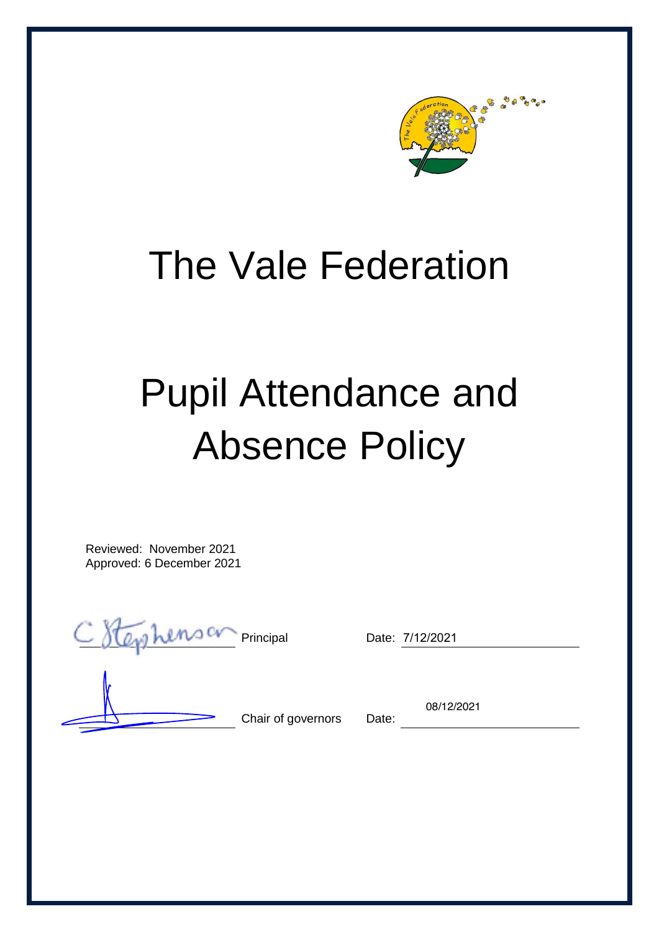

## The Vale Federation

# Pupil Attendance and Absence Policy

Reviewed: November 2021 Approved: 6 December 2021

Principal Date: 7/12/2021

Chair of governors Date:

08/12/2021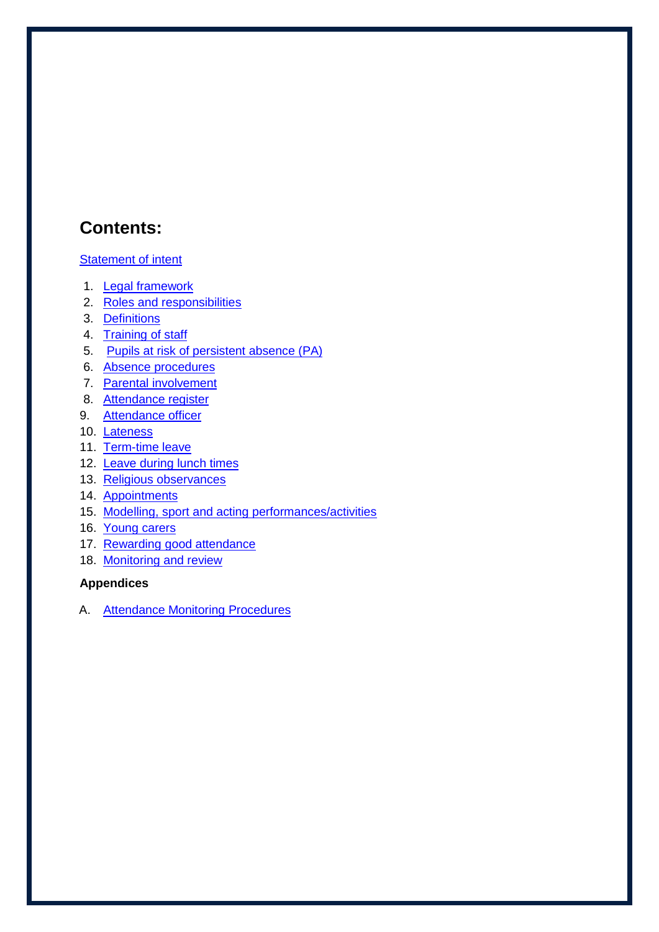## **Contents:**

#### **[Statement of intent](#page-1-0)**

- 1. [Legal framework](#page-3-0)
- 2. [Roles and responsibilities](#page-3-1)
- 3. [Definitions](#page-4-0)
- 4. [Training of staff](#page-5-0)
- 5. [Pupils at risk of persistent absence](#page-5-1) (PA)
- 6. [Absence procedures](#page-6-0)
- 7. [Parental involvement](#page-6-1)
- 8. [Attendance register](#page-7-0)
- 9. Attendance officer
- 10. [Lateness](#page-8-0)
- 11. [Term-time leave](#page-8-1)
- 12. [Leave during lunch times](#page-9-0)
- 13. [Religious observances](#page-9-1)
- 14. [Appointments](#page-9-2)
- 15. [Modelling, sport and acting performances/activities](#page-9-3)
- 16. [Young carers](#page-9-3)
- 17. [Rewarding good attendance](#page-9-4)
- 18. Monitoring and review

#### **Appendices**

<span id="page-1-0"></span>A. [Attendance Monitoring Procedures](#page-10-0)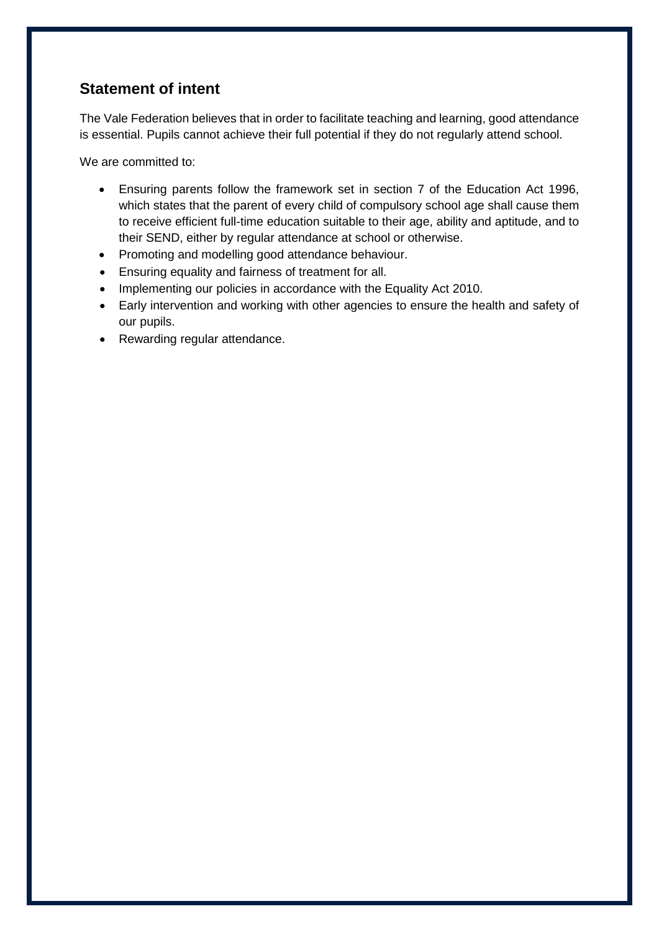## **Statement of intent**

The Vale Federation believes that in order to facilitate teaching and learning, good attendance is essential. Pupils cannot achieve their full potential if they do not regularly attend school.

We are committed to:

- Ensuring parents follow the framework set in section 7 of the Education Act 1996, which states that the parent of every child of compulsory school age shall cause them to receive efficient full-time education suitable to their age, ability and aptitude, and to their SEND, either by regular attendance at school or otherwise.
- Promoting and modelling good attendance behaviour.
- Ensuring equality and fairness of treatment for all.
- Implementing our policies in accordance with the Equality Act 2010.
- Early intervention and working with other agencies to ensure the health and safety of our pupils.
- Rewarding regular attendance.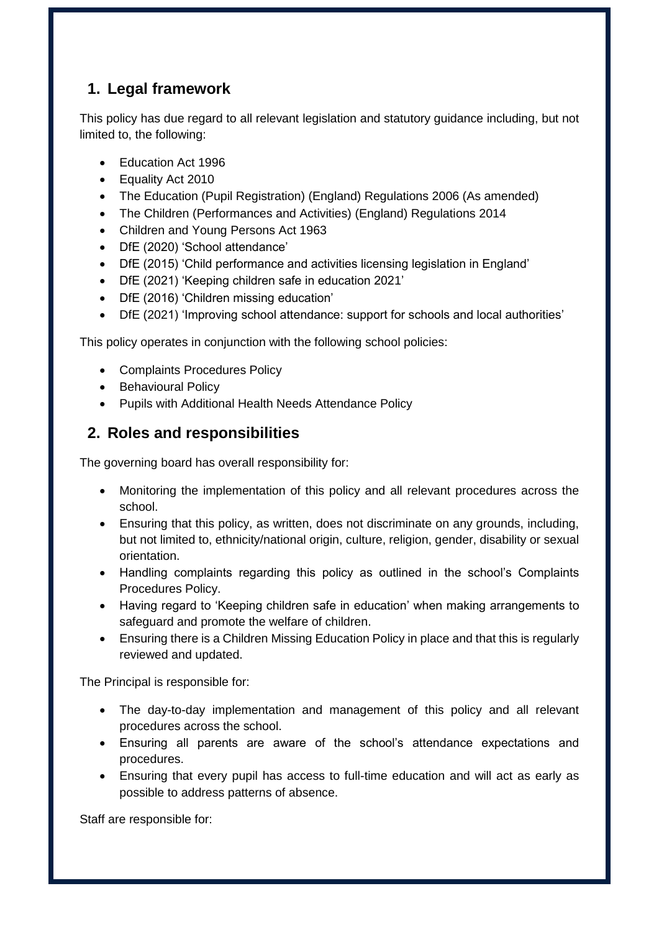## <span id="page-3-0"></span>**1. Legal framework**

This policy has due regard to all relevant legislation and statutory guidance including, but not limited to, the following:

- Education Act 1996
- Equality Act 2010
- The Education (Pupil Registration) (England) Regulations 2006 (As amended)
- The Children (Performances and Activities) (England) Regulations 2014
- Children and Young Persons Act 1963
- DfE (2020) 'School attendance'
- DfE (2015) 'Child performance and activities licensing legislation in England'
- DfE (2021) 'Keeping children safe in education 2021'
- DfE (2016) 'Children missing education'
- DfE (2021) 'Improving school attendance: support for schools and local authorities'

This policy operates in conjunction with the following school policies:

- Complaints Procedures Policy
- Behavioural Policy
- Pupils with Additional Health Needs Attendance Policy

## <span id="page-3-1"></span>**2. Roles and responsibilities**

The governing board has overall responsibility for:

- Monitoring the implementation of this policy and all relevant procedures across the school.
- Ensuring that this policy, as written, does not discriminate on any grounds, including, but not limited to, ethnicity/national origin, culture, religion, gender, disability or sexual orientation.
- Handling complaints regarding this policy as outlined in the school's Complaints Procedures Policy.
- Having regard to 'Keeping children safe in education' when making arrangements to safeguard and promote the welfare of children.
- Ensuring there is a Children Missing Education Policy in place and that this is regularly reviewed and updated.

The Principal is responsible for:

- The day-to-day implementation and management of this policy and all relevant procedures across the school.
- Ensuring all parents are aware of the school's attendance expectations and procedures.
- Ensuring that every pupil has access to full-time education and will act as early as possible to address patterns of absence.

Staff are responsible for: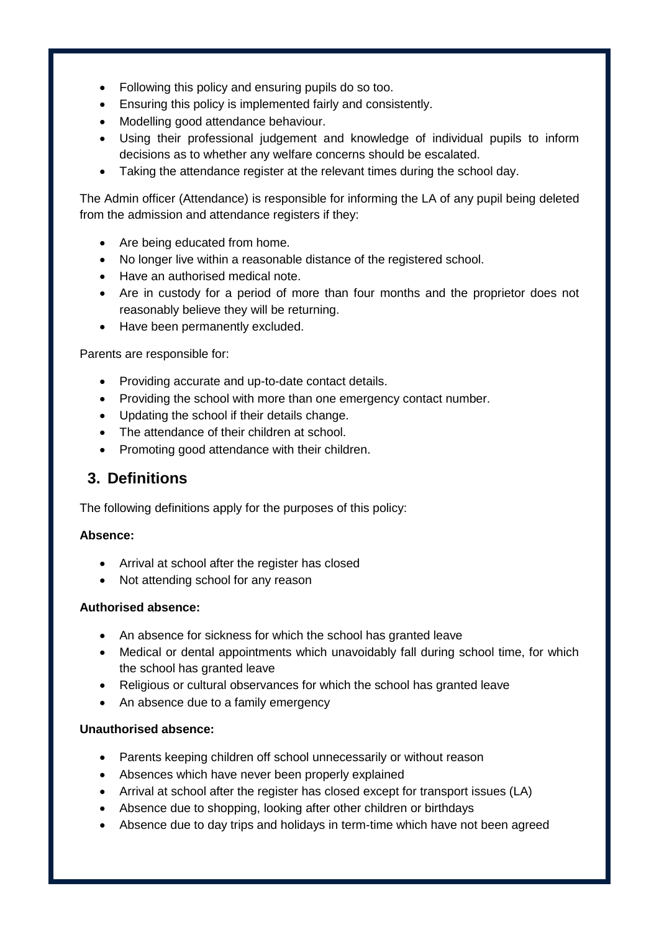- Following this policy and ensuring pupils do so too.
- Ensuring this policy is implemented fairly and consistently.
- Modelling good attendance behaviour.
- Using their professional judgement and knowledge of individual pupils to inform decisions as to whether any welfare concerns should be escalated.
- Taking the attendance register at the relevant times during the school day.

The Admin officer (Attendance) is responsible for informing the LA of any pupil being deleted from the admission and attendance registers if they:

- Are being educated from home.
- No longer live within a reasonable distance of the registered school.
- Have an authorised medical note.
- Are in custody for a period of more than four months and the proprietor does not reasonably believe they will be returning.
- Have been permanently excluded.

Parents are responsible for:

- Providing accurate and up-to-date contact details.
- Providing the school with more than one emergency contact number.
- Updating the school if their details change.
- The attendance of their children at school.
- Promoting good attendance with their children.

#### <span id="page-4-0"></span>**3. Definitions**

The following definitions apply for the purposes of this policy:

#### **Absence:**

- Arrival at school after the register has closed
- Not attending school for any reason

#### **Authorised absence:**

- An absence for sickness for which the school has granted leave
- Medical or dental appointments which unavoidably fall during school time, for which the school has granted leave
- Religious or cultural observances for which the school has granted leave
- An absence due to a family emergency

#### **Unauthorised absence:**

- Parents keeping children off school unnecessarily or without reason
- Absences which have never been properly explained
- Arrival at school after the register has closed except for transport issues (LA)
- Absence due to shopping, looking after other children or birthdays
- Absence due to day trips and holidays in term-time which have not been agreed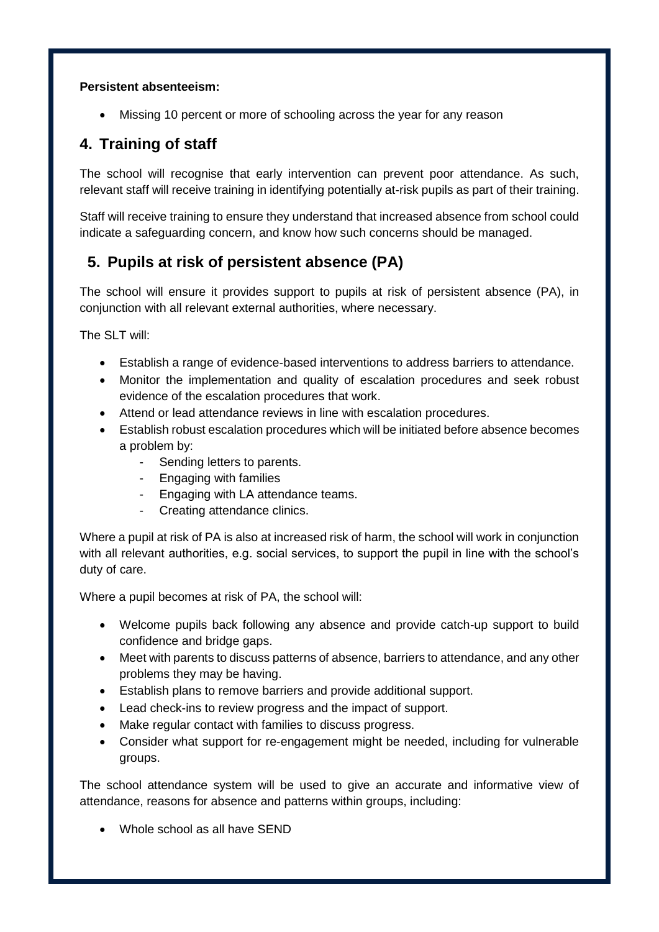#### **Persistent absenteeism:**

Missing 10 percent or more of schooling across the year for any reason

## <span id="page-5-0"></span>**4. Training of staff**

The school will recognise that early intervention can prevent poor attendance. As such, relevant staff will receive training in identifying potentially at-risk pupils as part of their training.

Staff will receive training to ensure they understand that increased absence from school could indicate a safeguarding concern, and know how such concerns should be managed.

## <span id="page-5-1"></span>**5. Pupils at risk of persistent absence (PA)**

The school will ensure it provides support to pupils at risk of persistent absence (PA), in conjunction with all relevant external authorities, where necessary.

The SLT will:

- Establish a range of evidence-based interventions to address barriers to attendance.
- Monitor the implementation and quality of escalation procedures and seek robust evidence of the escalation procedures that work.
- Attend or lead attendance reviews in line with escalation procedures.
- Establish robust escalation procedures which will be initiated before absence becomes a problem by:
	- Sending letters to parents.
	- Engaging with families
	- Engaging with LA attendance teams.
	- Creating attendance clinics.

Where a pupil at risk of PA is also at increased risk of harm, the school will work in conjunction with all relevant authorities, e.g. social services, to support the pupil in line with the school's duty of care.

Where a pupil becomes at risk of PA, the school will:

- Welcome pupils back following any absence and provide catch-up support to build confidence and bridge gaps.
- Meet with parents to discuss patterns of absence, barriers to attendance, and any other problems they may be having.
- Establish plans to remove barriers and provide additional support.
- Lead check-ins to review progress and the impact of support.
- Make regular contact with families to discuss progress.
- Consider what support for re-engagement might be needed, including for vulnerable groups.

The school attendance system will be used to give an accurate and informative view of attendance, reasons for absence and patterns within groups, including:

Whole school as all have SEND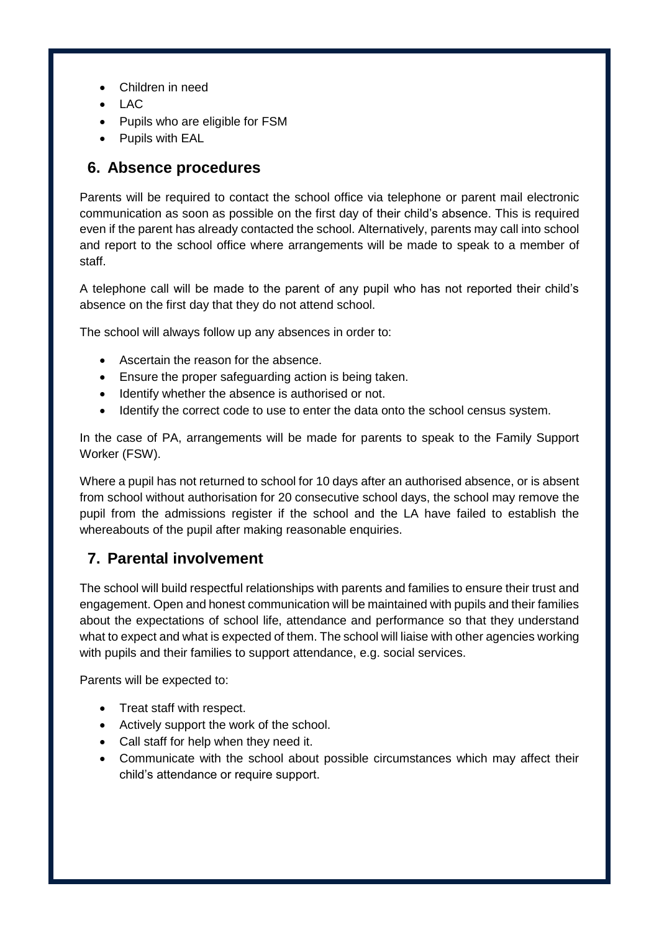- Children in need
- LAC
- Pupils who are eligible for FSM
- Pupils with EAL

#### <span id="page-6-0"></span>**6. Absence procedures**

Parents will be required to contact the school office via telephone or parent mail electronic communication as soon as possible on the first day of their child's absence. This is required even if the parent has already contacted the school. Alternatively, parents may call into school and report to the school office where arrangements will be made to speak to a member of staff.

A telephone call will be made to the parent of any pupil who has not reported their child's absence on the first day that they do not attend school.

The school will always follow up any absences in order to:

- Ascertain the reason for the absence.
- Ensure the proper safeguarding action is being taken.
- Identify whether the absence is authorised or not.
- Identify the correct code to use to enter the data onto the school census system.

In the case of PA, arrangements will be made for parents to speak to the Family Support Worker (FSW).

Where a pupil has not returned to school for 10 days after an authorised absence, or is absent from school without authorisation for 20 consecutive school days, the school may remove the pupil from the admissions register if the school and the LA have failed to establish the whereabouts of the pupil after making reasonable enquiries.

## <span id="page-6-1"></span>**7. Parental involvement**

The school will build respectful relationships with parents and families to ensure their trust and engagement. Open and honest communication will be maintained with pupils and their families about the expectations of school life, attendance and performance so that they understand what to expect and what is expected of them. The school will liaise with other agencies working with pupils and their families to support attendance, e.g. social services.

Parents will be expected to:

- Treat staff with respect.
- Actively support the work of the school.
- Call staff for help when they need it.
- Communicate with the school about possible circumstances which may affect their child's attendance or require support.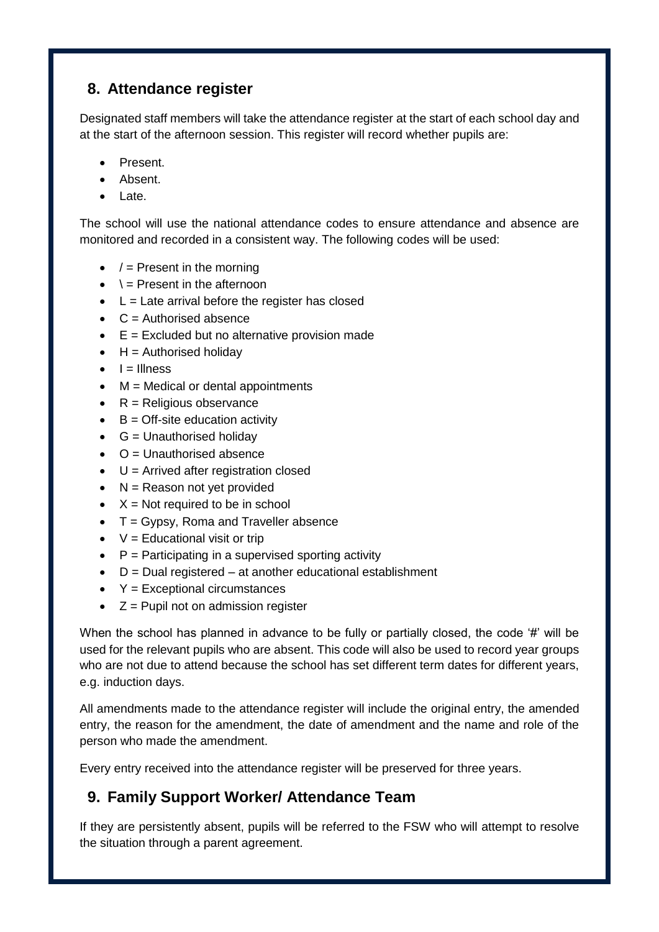## <span id="page-7-0"></span>**8. Attendance register**

Designated staff members will take the attendance register at the start of each school day and at the start of the afternoon session. This register will record whether pupils are:

- Present.
- Absent.
- Late.

The school will use the national attendance codes to ensure attendance and absence are monitored and recorded in a consistent way. The following codes will be used:

- $\bullet$  / = Present in the morning
- $\bullet \quad \dagger$  = Present in the afternoon
- $\bullet$  L = Late arrival before the register has closed
- $\bullet$  C = Authorised absence
- $\bullet$   $E =$  Excluded but no alternative provision made
- $\bullet$  H = Authorised holiday
- $\bullet$   $I =$  Illness
- $M = Medical or dental appointments$
- $\bullet$  R = Religious observance
- $\bullet$  B = Off-site education activity
- $\bullet$  G = Unauthorised holiday
- $\bullet$   $\circ$   $\circ$   $=$  Unauthorised absence
- $\bullet$  U = Arrived after registration closed
- $\bullet$  N = Reason not yet provided
- $\bullet$   $X = Not required to be in school$
- $\bullet$  T = Gypsy, Roma and Traveller absence
- $\bullet$   $V =$  Educational visit or trip
- $\bullet$   $\quad$  P = Participating in a supervised sporting activity
- $\bullet$  D = Dual registered at another educational establishment
- $\textbf{Y} =$  Exceptional circumstances
- $Z =$  Pupil not on admission register

When the school has planned in advance to be fully or partially closed, the code '#' will be used for the relevant pupils who are absent. This code will also be used to record year groups who are not due to attend because the school has set different term dates for different years, e.g. induction days.

All amendments made to the attendance register will include the original entry, the amended entry, the reason for the amendment, the date of amendment and the name and role of the person who made the amendment.

Every entry received into the attendance register will be preserved for three years.

## <span id="page-7-1"></span>**9. Family Support Worker/ Attendance Team**

If they are persistently absent, pupils will be referred to the FSW who will attempt to resolve the situation through a parent agreement.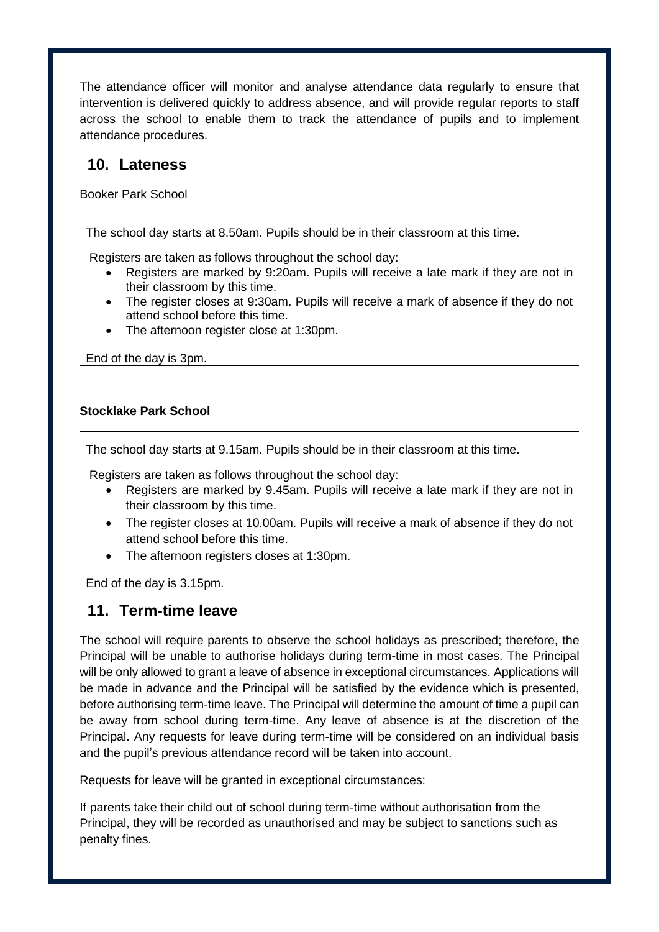The attendance officer will monitor and analyse attendance data regularly to ensure that intervention is delivered quickly to address absence, and will provide regular reports to staff across the school to enable them to track the attendance of pupils and to implement attendance procedures.

#### <span id="page-8-0"></span>**10. Lateness**

Booker Park School

The school day starts at 8.50am. Pupils should be in their classroom at this time.

Registers are taken as follows throughout the school day:

- Registers are marked by 9:20am. Pupils will receive a late mark if they are not in their classroom by this time.
- The register closes at 9:30am. Pupils will receive a mark of absence if they do not attend school before this time.
- The afternoon register close at 1:30pm.

End of the day is 3pm.

#### **Stocklake Park School**

The school day starts at 9.15am. Pupils should be in their classroom at this time.

Registers are taken as follows throughout the school day:

- Registers are marked by 9.45am. Pupils will receive a late mark if they are not in their classroom by this time.
- The register closes at 10.00am. Pupils will receive a mark of absence if they do not attend school before this time.
- The afternoon registers closes at 1:30pm.

<span id="page-8-1"></span>End of the day is 3.15pm.

#### **11. Term-time leave**

The school will require parents to observe the school holidays as prescribed; therefore, the Principal will be unable to authorise holidays during term-time in most cases. The Principal will be only allowed to grant a leave of absence in exceptional circumstances. Applications will be made in advance and the Principal will be satisfied by the evidence which is presented, before authorising term-time leave. The Principal will determine the amount of time a pupil can be away from school during term-time. Any leave of absence is at the discretion of the Principal. Any requests for leave during term-time will be considered on an individual basis and the pupil's previous attendance record will be taken into account.

Requests for leave will be granted in exceptional circumstances:

If parents take their child out of school during term-time without authorisation from the Principal, they will be recorded as unauthorised and may be subject to sanctions such as penalty fines.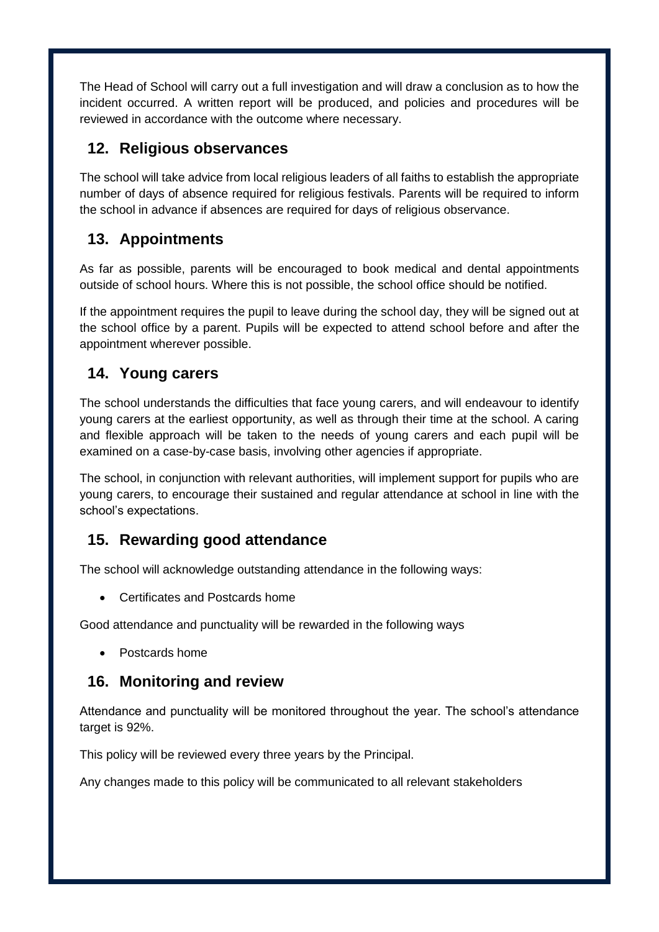<span id="page-9-0"></span>The Head of School will carry out a full investigation and will draw a conclusion as to how the incident occurred. A written report will be produced, and policies and procedures will be reviewed in accordance with the outcome where necessary.

## <span id="page-9-1"></span>**12. Religious observances**

The school will take advice from local religious leaders of all faiths to establish the appropriate number of days of absence required for religious festivals. Parents will be required to inform the school in advance if absences are required for days of religious observance.

## <span id="page-9-2"></span>**13. Appointments**

As far as possible, parents will be encouraged to book medical and dental appointments outside of school hours. Where this is not possible, the school office should be notified.

If the appointment requires the pupil to leave during the school day, they will be signed out at the school office by a parent. Pupils will be expected to attend school before and after the appointment wherever possible.

## <span id="page-9-3"></span>**14. Young carers**

The school understands the difficulties that face young carers, and will endeavour to identify young carers at the earliest opportunity, as well as through their time at the school. A caring and flexible approach will be taken to the needs of young carers and each pupil will be examined on a case-by-case basis, involving other agencies if appropriate.

The school, in conjunction with relevant authorities, will implement support for pupils who are young carers, to encourage their sustained and regular attendance at school in line with the school's expectations.

## <span id="page-9-4"></span>**15. Rewarding good attendance**

The school will acknowledge outstanding attendance in the following ways:

Certificates and Postcards home

Good attendance and punctuality will be rewarded in the following ways

Postcards home

## **16. Monitoring and review**

Attendance and punctuality will be monitored throughout the year. The school's attendance target is 92%.

This policy will be reviewed every three years by the Principal.

Any changes made to this policy will be communicated to all relevant stakeholders